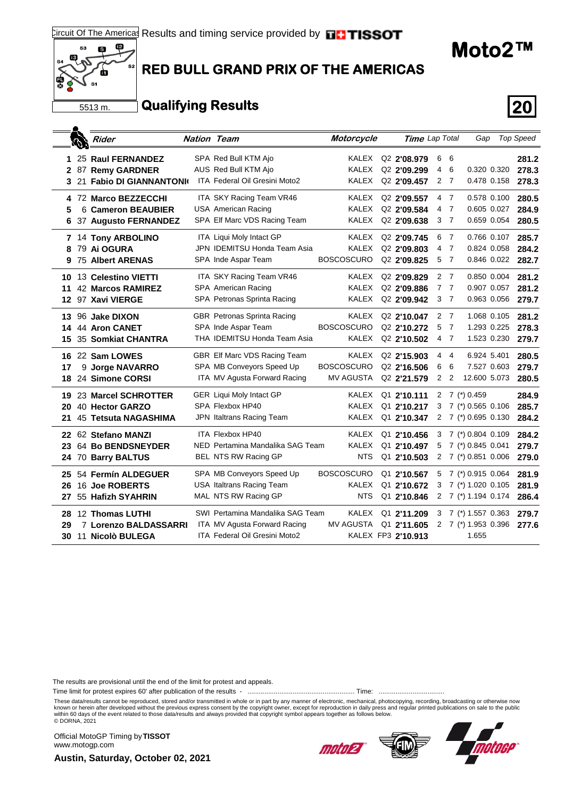

## **RED BULL GRAND PRIX OF THE AMERICAS**

## **Qualifying Results 20**

|    | والأناك | Rider                       | <b>Nation Team</b> |                                  | Motorcycle        | Time Lap Total          |   |                | Gap                 |             | <b>Top Speed</b> |
|----|---------|-----------------------------|--------------------|----------------------------------|-------------------|-------------------------|---|----------------|---------------------|-------------|------------------|
| 1  |         | 25 Raul FERNANDEZ           |                    | SPA Red Bull KTM Ajo             | <b>KALEX</b>      | Q <sub>2</sub> 2'08.979 | 6 | 6              |                     |             | 281.2            |
| 2  |         | 87 Remy GARDNER             |                    | AUS Red Bull KTM Ajo             | <b>KALEX</b>      | Q <sub>2</sub> 2'09.299 | 4 | 6              |                     | 0.320 0.320 | 278.3            |
| 3  |         | 21 Fabio DI GIANNANTONIO    |                    | ITA Federal Oil Gresini Moto2    | <b>KALEX</b>      | Q <sub>2</sub> 2'09.457 | 2 | $\overline{7}$ |                     | 0.478 0.158 | 278.3            |
| 4  |         | 72 Marco BEZZECCHI          |                    | ITA SKY Racing Team VR46         | <b>KALEX</b>      | Q2 2'09.557             | 4 | $\overline{7}$ |                     | 0.578 0.100 | 280.5            |
| 5  |         | 6 Cameron BEAUBIER          |                    | <b>USA American Racing</b>       | <b>KALEX</b>      | Q <sub>2</sub> 2'09.584 | 4 | -7             |                     | 0.605 0.027 | 284.9            |
| 6  |         | 37 Augusto FERNANDEZ        |                    | SPA Elf Marc VDS Racing Team     | <b>KALEX</b>      | Q <sub>2</sub> 2'09.638 |   | 3 <sub>7</sub> |                     | 0.659 0.054 | 280.5            |
| 7  |         | 14 Tony ARBOLINO            |                    | ITA Liqui Moly Intact GP         | <b>KALEX</b>      | Q <sub>2</sub> 2'09.745 | 6 | - 7            |                     | 0.766 0.107 | 285.7            |
| 8  |         | 79 Ai OGURA                 |                    | JPN IDEMITSU Honda Team Asia     | <b>KALEX</b>      | Q2 2'09.803             | 4 | 7              |                     | 0.824 0.058 | 284.2            |
| 9  |         | <b>75 Albert ARENAS</b>     |                    | SPA Inde Aspar Team              | <b>BOSCOSCURO</b> | Q <sub>2</sub> 2'09.825 | 5 | - 7            |                     | 0.846 0.022 | 282.7            |
| 10 |         | 13 Celestino VIETTI         |                    | ITA SKY Racing Team VR46         | <b>KALEX</b>      | Q <sub>2</sub> 2'09.829 | 2 | - 7            |                     | 0.850 0.004 | 281.2            |
| 11 |         | <b>42 Marcos RAMIREZ</b>    |                    | SPA American Racing              | <b>KALEX</b>      | Q2 2'09.886             | 7 | -7             |                     | 0.907 0.057 | 281.2            |
|    |         | 12 97 Xavi VIERGE           |                    | SPA Petronas Sprinta Racing      | <b>KALEX</b>      | Q2 2'09.942             |   | 3 <sub>7</sub> |                     | 0.963 0.056 | 279.7            |
| 13 |         | 96 Jake DIXON               |                    | GBR Petronas Sprinta Racing      | <b>KALEX</b>      | Q2 2'10.047             | 2 | $\overline{7}$ |                     | 1.068 0.105 | 281.2            |
| 14 |         | 44 Aron CANET               |                    | SPA Inde Aspar Team              | <b>BOSCOSCURO</b> | Q <sub>2</sub> 2'10.272 | 5 | -7             |                     | 1.293 0.225 | 278.3            |
| 15 |         | 35 Somkiat CHANTRA          |                    | THA IDEMITSU Honda Team Asia     | <b>KALEX</b>      | Q <sub>2</sub> 2'10.502 |   | 4 7            |                     | 1.523 0.230 | 279.7            |
| 16 |         | 22 Sam LOWES                |                    | GBR Elf Marc VDS Racing Team     | <b>KALEX</b>      | Q <sub>2</sub> 2'15.903 | 4 | - 4            | 6.924 5.401         |             | 280.5            |
| 17 |         | 9 Jorge NAVARRO             |                    | SPA MB Conveyors Speed Up        | <b>BOSCOSCURO</b> | Q <sub>2</sub> 2'16.506 | 6 | 6              |                     | 7.527 0.603 | 279.7            |
| 18 |         | 24 Simone CORSI             |                    | ITA MV Agusta Forward Racing     | <b>MV AGUSTA</b>  | Q <sub>2</sub> 2'21.579 | 2 | $\overline{2}$ | 12.600 5.073        |             | 280.5            |
| 19 |         | 23 Marcel SCHROTTER         |                    | <b>GER Liqui Moly Intact GP</b>  | KALEX             | Q1 2'10.111             | 2 |                | 7 (*) 0.459         |             | 284.9            |
| 20 |         | 40 Hector GARZO             |                    | SPA Flexbox HP40                 | <b>KALEX</b>      | Q1 2'10.217             | 3 |                | $7$ (*) 0.565 0.106 |             | 285.7            |
| 21 |         | <b>45 Tetsuta NAGASHIMA</b> |                    | JPN Italtrans Racing Team        | <b>KALEX</b>      | Q1 2'10.347             | 2 |                | 7 (*) 0.695 0.130   |             | 284.2            |
| 22 |         | 62 Stefano MANZI            |                    | <b>ITA Flexbox HP40</b>          | <b>KALEX</b>      | Q1 2'10.456             | 3 |                | 7 (*) 0.804 0.109   |             | 284.2            |
| 23 |         | 64 Bo BENDSNEYDER           |                    | NED Pertamina Mandalika SAG Team | <b>KALEX</b>      | Q1 2'10.497             | 5 |                | 7 (*) 0.845 0.041   |             | 279.7            |
|    |         | 24 70 Barry BALTUS          |                    | BEL NTS RW Racing GP             | <b>NTS</b>        | Q1 2'10.503             |   |                | 2 7 (*) 0.851 0.006 |             | 279.0            |
| 25 |         | 54 Fermín ALDEGUER          |                    | SPA MB Conveyors Speed Up        | <b>BOSCOSCURO</b> | Q1 2'10.567             | 5 |                | 7 (*) 0.915 0.064   |             | 281.9            |
| 26 |         | 16 Joe ROBERTS              |                    | <b>USA Italtrans Racing Team</b> | <b>KALEX</b>      | Q1 2'10.672             | 3 |                | 7 (*) 1.020 0.105   |             | 281.9            |
| 27 |         | 55 Hafizh SYAHRIN           |                    | MAL NTS RW Racing GP             | <b>NTS</b>        | Q1 2'10.846             |   |                | 2 7 (*) 1.194 0.174 |             | 286.4            |
| 28 |         | 12 Thomas LUTHI             |                    | SWI Pertamina Mandalika SAG Team | <b>KALEX</b>      | Q1 2'11.209             |   |                | 3 7 (*) 1.557 0.363 |             | 279.7            |
| 29 |         | 7 Lorenzo BALDASSARRI       |                    | ITA MV Agusta Forward Racing     | <b>MV AGUSTA</b>  | Q1 2'11.605             | 2 |                | 7 (*) 1.953 0.396   |             | 277.6            |
| 30 |         | 11 Nicolò BULEGA            |                    | ITA Federal Oil Gresini Moto2    |                   | KALEX FP3 2'10.913      |   |                | 1.655               |             |                  |

The results are provisional until the end of the limit for protest and appeals.

Time limit for protest expires 60' after publication of the results - ......................................................... Time: ...................................

These data/results cannot be reproduced, stored and/or transmitted in whole or in part by any manner of electronic, mechanical, photocopying, recording, broadcasting or otherwise now known or herein after developed without the previous express consent by the copyright owner, except for reproduction in daily press and regular printed publications on sale to the public<br>within 60 days of the event related

Official MotoGP Timing by **TISSOT**www.motogp.com

**Austin, Saturday, October 02, 2021**